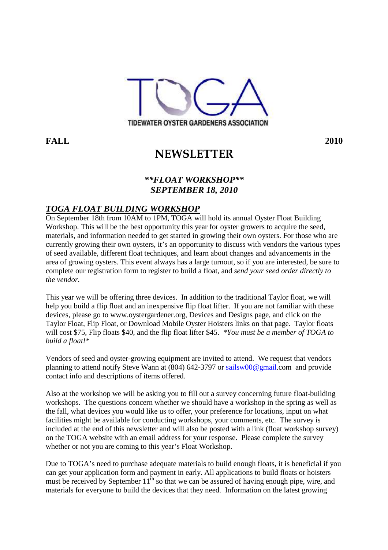

**FALL 2010**

# **NEWSLETTER**

#### *\*\*FLOAT WORKSHOP\*\* SEPTEMBER 18, 2010*

## *TOGA FLOAT BUILDING WORKSHOP*

On September 18th from 10AM to 1PM, TOGA will hold its annual Oyster Float Building Workshop. This will be the best opportunity this year for oyster growers to acquire the seed. materials, and information needed to get started in growing their own oysters. For those who are currently growing their own oysters, it's an opportunity to discuss with vendors the various types of seed available, different float techniques, and learn about changes and advancements in the area of growing oysters. This event always has a large turnout, so if you are interested, be sure to complete our registration form to register to build a float, and *send your seed order directly to the vendor.* 

This year we will be offering three devices. In addition to the traditional Taylor float, we will help you build a flip float and an inexpensive flip float lifter. If you are not familiar with these devices, please go to www.oystergardener.org, Devices and Designs page, and click on the Taylor Float, Flip Float, or Download Mobile Oyster Hoisters links on that page. Taylor floats will cost \$75, Flip floats \$40, and the flip float lifter \$45. *\*You must be a member of TOGA to build a float!\** 

Vendors of seed and oyster-growing equipment are invited to attend. We request that vendors planning to attend notify Steve Wann at (804) 642-3797 or sailsw00@gmail.com and provide contact info and descriptions of items offered.

Also at the workshop we will be asking you to fill out a survey concerning future float-building workshops. The questions concern whether we should have a workshop in the spring as well as the fall, what devices you would like us to offer, your preference for locations, input on what facilities might be available for conducting workshops, your comments, etc. The survey is included at the end of this newsletter and will also be posted with a link (float workshop survey) on the TOGA website with an email address for your response. Please complete the survey whether or not you are coming to this year's Float Workshop.

Due to TOGA's need to purchase adequate materials to build enough floats, it is beneficial if you can get your application form and payment in early. All applications to build floats or hoisters must be received by September  $11<sup>th</sup>$  so that we can be assured of having enough pipe, wire, and materials for everyone to build the devices that they need. Information on the latest growing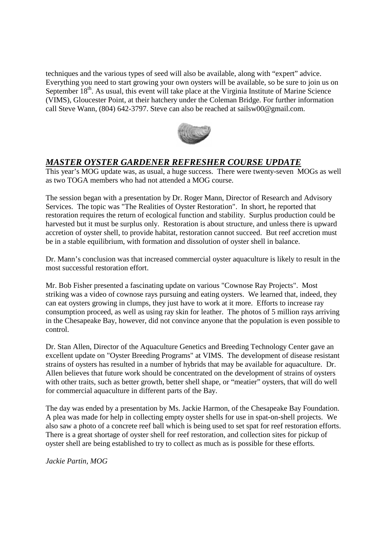techniques and the various types of seed will also be available, along with "expert" advice. Everything you need to start growing your own oysters will be available, so be sure to join us on September  $18<sup>th</sup>$ . As usual, this event will take place at the Virginia Institute of Marine Science (VIMS), Gloucester Point, at their hatchery under the Coleman Bridge. For further information call Steve Wann, (804) 642-3797. Steve can also be reached at sailsw00@gmail.com.



## *MASTER OYSTER GARDENER REFRESHER COURSE UPDATE*

This year's MOG update was, as usual, a huge success. There were twenty-seven MOGs as well as two TOGA members who had not attended a MOG course.

The session began with a presentation by Dr. Roger Mann, Director of Research and Advisory Services. The topic was "The Realities of Oyster Restoration". In short, he reported that restoration requires the return of ecological function and stability. Surplus production could be harvested but it must be surplus only. Restoration is about structure, and unless there is upward accretion of oyster shell, to provide habitat, restoration cannot succeed. But reef accretion must be in a stable equilibrium, with formation and dissolution of oyster shell in balance.

Dr. Mann's conclusion was that increased commercial oyster aquaculture is likely to result in the most successful restoration effort.

Mr. Bob Fisher presented a fascinating update on various "Cownose Ray Projects". Most striking was a video of cownose rays pursuing and eating oysters. We learned that, indeed, they can eat oysters growing in clumps, they just have to work at it more. Efforts to increase ray consumption proceed, as well as using ray skin for leather. The photos of 5 million rays arriving in the Chesapeake Bay, however, did not convince anyone that the population is even possible to control.

Dr. Stan Allen, Director of the Aquaculture Genetics and Breeding Technology Center gave an excellent update on "Oyster Breeding Programs" at VIMS. The development of disease resistant strains of oysters has resulted in a number of hybrids that may be available for aquaculture. Dr. Allen believes that future work should be concentrated on the development of strains of oysters with other traits, such as better growth, better shell shape, or "meatier" oysters, that will do well for commercial aquaculture in different parts of the Bay.

The day was ended by a presentation by Ms. Jackie Harmon, of the Chesapeake Bay Foundation. A plea was made for help in collecting empty oyster shells for use in spat-on-shell projects. We also saw a photo of a concrete reef ball which is being used to set spat for reef restoration efforts. There is a great shortage of oyster shell for reef restoration, and collection sites for pickup of oyster shell are being established to try to collect as much as is possible for these efforts.

*Jackie Partin, MOG*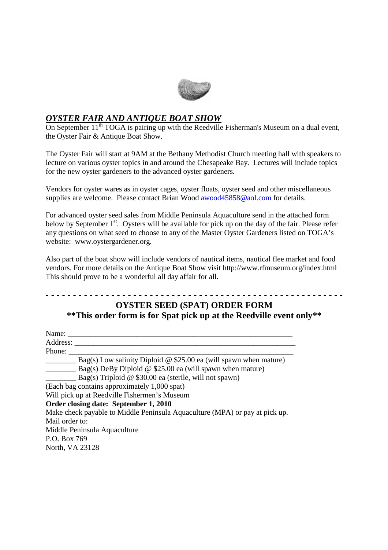

## *OYSTER FAIR AND ANTIQUE BOAT SHOW*

On September 11<sup>th</sup> TOGA is pairing up with the Reedville Fisherman's Museum on a dual event, the Oyster Fair & Antique Boat Show.

The Oyster Fair will start at 9AM at the Bethany Methodist Church meeting hall with speakers to lecture on various oyster topics in and around the Chesapeake Bay. Lectures will include topics for the new oyster gardeners to the advanced oyster gardeners.

Vendors for oyster wares as in oyster cages, oyster floats, oyster seed and other miscellaneous supplies are welcome. Please contact Brian Wood awood45858@aol.com for details.

For advanced oyster seed sales from Middle Peninsula Aquaculture send in the attached form below by September 1<sup>st</sup>. Oysters will be available for pick up on the day of the fair. Please refer any questions on what seed to choose to any of the Master Oyster Gardeners listed on TOGA's website: www.oystergardener.org.

Also part of the boat show will include vendors of nautical items, nautical flee market and food vendors. For more details on the Antique Boat Show visit http://www.rfmuseum.org/index.html This should prove to be a wonderful all day affair for all.

## **- - - - - - - - - - - - - - - - - - - - - - - - - - - - - - - - - - - - - - - - - - - - - - - - - - - - - - - OYSTER SEED (SPAT) ORDER FORM \*\*This order form is for Spat pick up at the Reedville event only\*\***

| Name:                                                                       |  |
|-----------------------------------------------------------------------------|--|
| Address:                                                                    |  |
| Phone:                                                                      |  |
| Bag(s) Low salinity Diploid $\omega$ \$25.00 ea (will spawn when mature)    |  |
| $Bag(s)$ DeBy Diploid @ \$25.00 ea (will spawn when mature)                 |  |
| Bag(s) Triploid $\omega$ \$30.00 ea (sterile, will not spawn)               |  |
| (Each bag contains approximately 1,000 spat)                                |  |
| Will pick up at Reedville Fishermen's Museum                                |  |
| Order closing date: September 1, 2010                                       |  |
| Make check payable to Middle Peninsula Aquaculture (MPA) or pay at pick up. |  |
| Mail order to:                                                              |  |
| Middle Peninsula Aquaculture                                                |  |
| P.O. Box 769                                                                |  |
| North, VA 23128                                                             |  |
|                                                                             |  |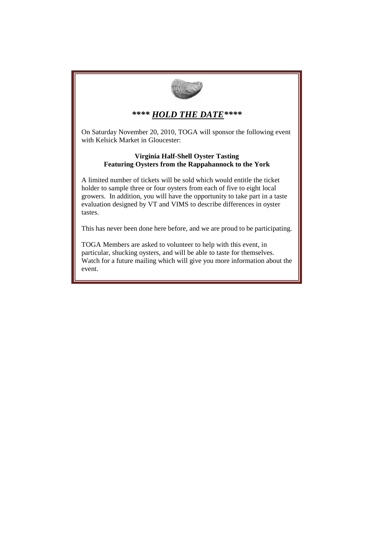

#### *\*\*\*\* HOLD THE DATE\*\*\*\**

On Saturday November 20, 2010, TOGA will sponsor the following event with Kelsick Market in Gloucester:

#### **Virginia Half-Shell Oyster Tasting Featuring Oysters from the Rappahannock to the York**

A limited number of tickets will be sold which would entitle the ticket holder to sample three or four oysters from each of five to eight local growers. In addition, you will have the opportunity to take part in a taste evaluation designed by VT and VIMS to describe differences in oyster tastes.

This has never been done here before, and we are proud to be participating.

TOGA Members are asked to volunteer to help with this event, in particular, shucking oysters, and will be able to taste for themselves. Watch for a future mailing which will give you more information about the event.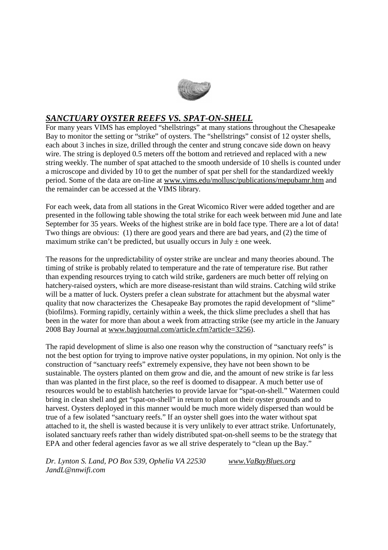

## *SANCTUARY OYSTER REEFS VS. SPAT-ON-SHELL*

For many years VIMS has employed "shellstrings" at many stations throughout the Chesapeake Bay to monitor the setting or "strike" of oysters. The "shellstrings" consist of 12 oyster shells, each about 3 inches in size, drilled through the center and strung concave side down on heavy wire. The string is deployed 0.5 meters off the bottom and retrieved and replaced with a new string weekly. The number of spat attached to the smooth underside of 10 shells is counted under a microscope and divided by 10 to get the number of spat per shell for the standardized weekly period. Some of the data are on-line at www.vims.edu/mollusc/publications/mepubamr.htm and the remainder can be accessed at the VIMS library.

For each week, data from all stations in the Great Wicomico River were added together and are presented in the following table showing the total strike for each week between mid June and late September for 35 years. Weeks of the highest strike are in bold face type. There are a lot of data! Two things are obvious: (1) there are good years and there are bad years, and (2) the time of maximum strike can't be predicted, but usually occurs in July  $\pm$  one week.

The reasons for the unpredictability of oyster strike are unclear and many theories abound. The timing of strike is probably related to temperature and the rate of temperature rise. But rather than expending resources trying to catch wild strike, gardeners are much better off relying on hatchery-raised oysters, which are more disease-resistant than wild strains. Catching wild strike will be a matter of luck. Oysters prefer a clean substrate for attachment but the abysmal water quality that now characterizes the Chesapeake Bay promotes the rapid development of "slime" (biofilms). Forming rapidly, certainly within a week, the thick slime precludes a shell that has been in the water for more than about a week from attracting strike (see my article in the January 2008 Bay Journal at www.bayjournal.com/article.cfm?article=3256).

The rapid development of slime is also one reason why the construction of "sanctuary reefs" is not the best option for trying to improve native oyster populations, in my opinion. Not only is the construction of "sanctuary reefs" extremely expensive, they have not been shown to be sustainable. The oysters planted on them grow and die, and the amount of new strike is far less than was planted in the first place, so the reef is doomed to disappear. A much better use of resources would be to establish hatcheries to provide larvae for "spat-on-shell." Watermen could bring in clean shell and get "spat-on-shell" in return to plant on their oyster grounds and to harvest. Oysters deployed in this manner would be much more widely dispersed than would be true of a few isolated "sanctuary reefs." If an oyster shell goes into the water without spat attached to it, the shell is wasted because it is very unlikely to ever attract strike. Unfortunately, isolated sanctuary reefs rather than widely distributed spat-on-shell seems to be the strategy that EPA and other federal agencies favor as we all strive desperately to "clean up the Bay."

*Dr. Lynton S. Land, PO Box 539, Ophelia VA 22530 www.VaBayBlues.org JandL@nnwifi.com*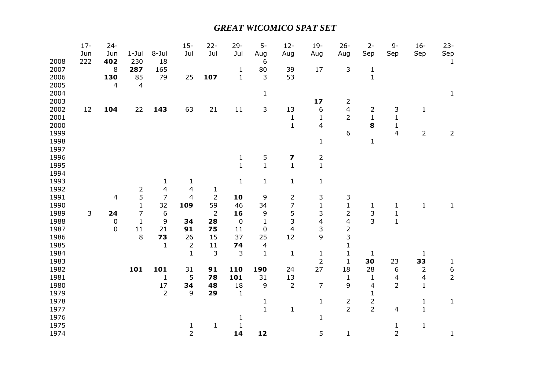## *GREAT WICOMICO SPAT SET*

|      | $17 -$<br>Jun | $24 -$<br>Jun            | $1-Jul$        | 8-Jul          | $15 -$<br>Jul           | $22 -$<br>Jul  | $29 -$<br>Jul | $5-$<br>Aug    | $12 -$<br>Aug           | $19-$<br>Aug            | $26 -$<br>Aug           | $2 -$<br>Sep   | $9-$<br>Sep             | $16-$<br>Sep   | $23 -$<br>Sep    |
|------|---------------|--------------------------|----------------|----------------|-------------------------|----------------|---------------|----------------|-------------------------|-------------------------|-------------------------|----------------|-------------------------|----------------|------------------|
| 2008 | 222           | 402                      | 230            | 18             |                         |                |               | 6              |                         |                         |                         |                |                         |                | $\mathbf{1}$     |
| 2007 |               | 8                        | 287            | 165            |                         |                | $\mathbf 1$   | 80             | 39                      | 17                      | 3                       | $\mathbf{1}$   |                         |                |                  |
| 2006 |               | 130                      | 85             | 79             | 25                      | 107            | $\mathbf{1}$  | 3              | 53                      |                         |                         | $\mathbf{1}$   |                         |                |                  |
| 2005 |               | $\overline{\mathcal{L}}$ | $\overline{4}$ |                |                         |                |               |                |                         |                         |                         |                |                         |                |                  |
| 2004 |               |                          |                |                |                         |                |               | $\mathbf{1}$   |                         |                         |                         |                |                         |                | $\mathbf 1$      |
| 2003 |               |                          |                |                |                         |                |               |                |                         | 17                      | $\overline{2}$          |                |                         |                |                  |
| 2002 | 12            | 104                      | 22             | 143            | 63                      | 21             | 11            | 3              | 13                      | 6                       | $\overline{\mathbf{4}}$ | $\overline{2}$ | $\mathsf{3}$            | $\mathbf 1$    |                  |
| 2001 |               |                          |                |                |                         |                |               |                | $\mathbf{1}$            | $\mathbf{1}$            | $\overline{2}$          | $\mathbf{1}$   | $\mathbf 1$             |                |                  |
| 2000 |               |                          |                |                |                         |                |               |                | $\mathbf 1$             | 4                       |                         | 8              | $\mathbf{1}$            |                |                  |
| 1999 |               |                          |                |                |                         |                |               |                |                         |                         | 6                       |                | $\overline{4}$          | $\overline{2}$ | $\overline{2}$   |
| 1998 |               |                          |                |                |                         |                |               |                |                         | $\mathbf{1}$            |                         | $\mathbf{1}$   |                         |                |                  |
| 1997 |               |                          |                |                |                         |                |               |                |                         |                         |                         |                |                         |                |                  |
| 1996 |               |                          |                |                |                         |                | $\mathbf{1}$  | 5              | 7                       | $\overline{2}$          |                         |                |                         |                |                  |
| 1995 |               |                          |                |                |                         |                | $\mathbf{1}$  | $\overline{1}$ | $\mathbf{1}$            | $\overline{1}$          |                         |                |                         |                |                  |
| 1994 |               |                          |                |                |                         |                |               |                |                         |                         |                         |                |                         |                |                  |
| 1993 |               |                          |                | $\mathbf{1}$   | $\mathbf{1}$            |                | $\mathbf 1$   | $\mathbf{1}$   | $\mathbf{1}$            | $\mathbf{1}$            |                         |                |                         |                |                  |
| 1992 |               |                          | $\overline{c}$ | 4              | $\overline{\mathbf{4}}$ | $\mathbf{1}$   |               |                |                         |                         |                         |                |                         |                |                  |
| 1991 |               | $\overline{\mathcal{L}}$ | 5              | $\overline{7}$ | $\overline{4}$          | 2              | 10            | 9              | $\overline{2}$          | 3                       | 3                       |                |                         |                |                  |
| 1990 |               |                          | $\mathbf{1}$   | 32             | 109                     | 59             | 46            | 34             | $\overline{7}$          | $\mathbf{1}$            | $\mathbf 1$             | $\mathbf{1}$   | $\mathbf 1$             | $\mathbf{1}$   | $\mathbf{1}$     |
| 1989 | 3             | 24                       | 7              | 6              |                         | $\overline{2}$ | 16            | 9              | 5                       | 3                       | $\overline{2}$          | 3              | $\mathbf 1$             |                |                  |
| 1988 |               | $\pmb{0}$                | $\mathbf{1}$   | 9              | 34                      | 28             | $\pmb{0}$     | $\mathbf{1}$   | 3                       | $\overline{\mathbf{4}}$ | $\overline{\mathbf{4}}$ | $\overline{3}$ | $\mathbf{1}$            |                |                  |
| 1987 |               | $\pmb{0}$                | 11             | 21             | 91                      | 75             | 11            | 0              | $\overline{\mathbf{4}}$ | 3                       | $\overline{c}$          |                |                         |                |                  |
| 1986 |               |                          | 8              | 73             | 26                      | 15             | 37            | 25             | 12                      | 9                       | 3                       |                |                         |                |                  |
| 1985 |               |                          |                | $\mathbf{1}$   | $\overline{2}$          | 11             | 74            | 4              |                         |                         | $\mathbf 1$             |                |                         |                |                  |
| 1984 |               |                          |                |                | $\mathbf{1}$            | 3              | 3             | $\mathbf{1}$   | $\mathbf{1}$            | $\mathbf{1}$            | $\mathbf 1$             | $\mathbf{1}$   |                         | 1              |                  |
| 1983 |               |                          |                |                |                         |                |               |                |                         | $\overline{2}$          | $\mathbf{1}$            | 30             | 23                      | 33             | $\mathbf{1}$     |
| 1982 |               |                          | 101            | 101            | 31                      | 91             | 110           | 190            | 24                      | 27                      | 18                      | 28             | 6                       | $\overline{2}$ | $\boldsymbol{6}$ |
| 1981 |               |                          |                | $\mathbf{1}$   | 5                       | 78             | 101           | 31             | 13                      |                         | $\mathbf 1$             | $\mathbf{1}$   | $\overline{\mathbf{4}}$ | 4              | $\overline{2}$   |
| 1980 |               |                          |                | 17             | 34                      | 48             | 18            | $\mathsf 9$    | $\overline{2}$          | $\overline{7}$          | 9                       | $\overline{4}$ | $\overline{2}$          | $\mathbf{1}$   |                  |
| 1979 |               |                          |                | $\overline{2}$ | 9                       | 29             | $\mathbf{1}$  |                |                         |                         |                         | $\mathbf{1}$   |                         |                |                  |
| 1978 |               |                          |                |                |                         |                |               | $\mathbf{1}$   |                         | $\mathbf{1}$            | $\overline{2}$          | $\overline{2}$ |                         | $\mathbf{1}$   | $\mathbf{1}$     |
| 1977 |               |                          |                |                |                         |                |               | $\mathbf{1}$   | $\mathbf{1}$            |                         | $\overline{2}$          | $\overline{2}$ | 4                       | $\mathbf{1}$   |                  |
| 1976 |               |                          |                |                |                         |                | 1             |                |                         | $\mathbf{1}$            |                         |                |                         |                |                  |
| 1975 |               |                          |                |                | $\frac{1}{2}$           | $\mathbf{1}$   | $\mathbf 1$   |                |                         |                         |                         |                | $\mathbf 1$             | $\mathbf{1}$   |                  |
| 1974 |               |                          |                |                |                         |                | 14            | 12             |                         | 5                       | $\mathbf 1$             |                | $\overline{2}$          |                | $\mathbf{1}$     |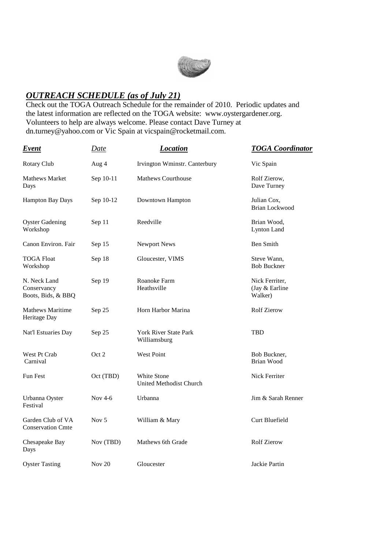

## *OUTREACH SCHEDULE (as of July 21)*

Check out the TOGA Outreach Schedule for the remainder of 2010. Periodic updates and the latest information are reflected on the TOGA website: www.oystergardener.org. Volunteers to help are always welcome. Please contact Dave Turney at dn.turney@yahoo.com or Vic Spain at vicspain@rocketmail.com.

| <b>Event</b>                                      | <u>Date</u> | <b>Location</b>                                      | <b>TOGA</b> Coordinator                     |
|---------------------------------------------------|-------------|------------------------------------------------------|---------------------------------------------|
| Rotary Club                                       | Aug 4       | Irvington Wminstr. Canterbury                        | Vic Spain                                   |
| Mathews Market<br>Days                            | Sep 10-11   | <b>Mathews Courthouse</b>                            | Rolf Zierow,<br>Dave Turney                 |
| Hampton Bay Days                                  | Sep 10-12   | Downtown Hampton                                     | Julian Cox,<br><b>Brian Lockwood</b>        |
| <b>Oyster Gadening</b><br>Workshop                | Sep 11      | Reedville                                            | Brian Wood,<br>Lynton Land                  |
| Canon Environ. Fair                               | Sep 15      | Newport News                                         | Ben Smith                                   |
| <b>TOGA Float</b><br>Workshop                     | Sep 18      | Gloucester, VIMS                                     | Steve Wann,<br><b>Bob Buckner</b>           |
| N. Neck Land<br>Conservancy<br>Boots, Bids, & BBQ | Sep 19      | Roanoke Farm<br>Heathsville                          | Nick Ferriter,<br>(Jay & Earline<br>Walker) |
| <b>Mathews Maritime</b><br>Heritage Day           | Sep 25      | Horn Harbor Marina                                   | <b>Rolf Zierow</b>                          |
| Nat'l Estuaries Day                               | Sep 25      | <b>York River State Park</b><br>Williamsburg         | TBD                                         |
| West Pt Crab<br>Carnival                          | Oct 2       | <b>West Point</b>                                    | Bob Buckner.<br>Brian Wood                  |
| <b>Fun Fest</b>                                   | Oct (TBD)   | <b>White Stone</b><br><b>United Methodist Church</b> | Nick Ferriter                               |
| Urbanna Oyster<br>Festival                        | Nov $4-6$   | Urbanna                                              | Jim & Sarah Renner                          |
| Garden Club of VA<br><b>Conservation Cmte</b>     | Nov $5$     | William & Mary                                       | Curt Bluefield                              |
| Chesapeake Bay<br>Days                            | Nov (TBD)   | Mathews 6th Grade                                    | <b>Rolf Zierow</b>                          |
| <b>Oyster Tasting</b>                             | Nov $20$    | Gloucester                                           | Jackie Partin                               |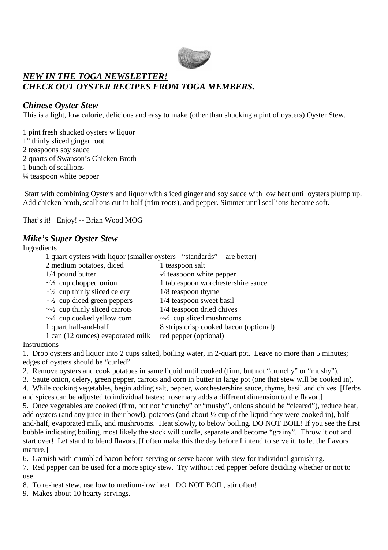

## *NEW IN THE TOGA NEWSLETTER! CHECK OUT OYSTER RECIPES FROM TOGA MEMBERS.*

#### *Chinese Oyster Stew*

This is a light, low calorie, delicious and easy to make (other than shucking a pint of oysters) Oyster Stew.

1 pint fresh shucked oysters w liquor 1" thinly sliced ginger root 2 teaspoons soy sauce 2 quarts of Swanson's Chicken Broth 1 bunch of scallions ¼ teaspoon white pepper

 Start with combining Oysters and liquor with sliced ginger and soy sauce with low heat until oysters plump up. Add chicken broth, scallions cut in half (trim roots), and pepper. Simmer until scallions become soft.

That's it! Enjoy! -- Brian Wood MOG

#### *Mike's Super Oyster Stew*

#### Ingredients

| marculento                                                               |                                        |  |  |  |  |  |  |  |
|--------------------------------------------------------------------------|----------------------------------------|--|--|--|--|--|--|--|
| 1 quart oysters with liquor (smaller oysters - "standards" - are better) |                                        |  |  |  |  |  |  |  |
| 2 medium potatoes, diced                                                 | 1 teaspoon salt                        |  |  |  |  |  |  |  |
| 1/4 pound butter                                                         | $\frac{1}{2}$ teaspoon white pepper    |  |  |  |  |  |  |  |
| $\sim\frac{1}{2}$ cup chopped onion                                      | 1 tablespoon worchestershire sauce     |  |  |  |  |  |  |  |
| $\sim\frac{1}{2}$ cup thinly sliced celery                               | $1/8$ teaspoon thyme                   |  |  |  |  |  |  |  |
| $\sim\frac{1}{2}$ cup diced green peppers                                | 1/4 teaspoon sweet basil               |  |  |  |  |  |  |  |
| $\sim$ 1/2 cup thinly sliced carrots                                     | 1/4 teaspoon dried chives              |  |  |  |  |  |  |  |
| $\sim\frac{1}{2}$ cup cooked yellow corn                                 | $\sim$ 1/2 cup sliced mushrooms        |  |  |  |  |  |  |  |
| 1 quart half-and-half                                                    | 8 strips crisp cooked bacon (optional) |  |  |  |  |  |  |  |
| 1 can (12 ounces) evaporated milk                                        | red pepper (optional)                  |  |  |  |  |  |  |  |

#### **Instructions**

1. Drop oysters and liquor into 2 cups salted, boiling water, in 2-quart pot. Leave no more than 5 minutes; edges of oysters should be "curled".

- 2. Remove oysters and cook potatoes in same liquid until cooked (firm, but not "crunchy" or "mushy").
- 3. Saute onion, celery, green pepper, carrots and corn in butter in large pot (one that stew will be cooked in). 4. While cooking vegetables, begin adding salt, pepper, worchestershire sauce, thyme, basil and chives. [Herbs
- and spices can be adjusted to individual tastes; rosemary adds a different dimension to the flavor.] 5. Once vegetables are cooked (firm, but not "crunchy" or "mushy", onions should be "cleared"), reduce heat, add oysters (and any juice in their bowl), potatoes (and about ½ cup of the liquid they were cooked in), halfand-half, evaporated milk, and mushrooms. Heat slowly, to below boiling. DO NOT BOIL! If you see the first bubble indicating boiling, most likely the stock will curdle, separate and become "grainy". Throw it out and start over! Let stand to blend flavors. [I often make this the day before I intend to serve it, to let the flavors mature.]

6. Garnish with crumbled bacon before serving or serve bacon with stew for individual garnishing.

7. Red pepper can be used for a more spicy stew. Try without red pepper before deciding whether or not to use.

8. To re-heat stew, use low to medium-low heat. DO NOT BOIL, stir often!

9. Makes about 10 hearty servings.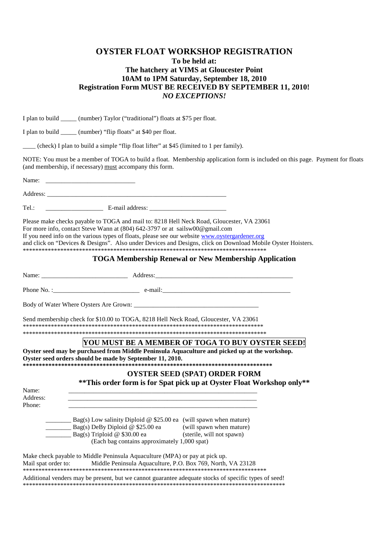#### **OYSTER FLOAT WORKSHOP REGISTRATION To be held at: The hatchery at VIMS at Gloucester Point 10AM to 1PM Saturday, September 18, 2010 Registration Form MUST BE RECEIVED BY SEPTEMBER 11, 2010!**  *NO EXCEPTIONS!*

I plan to build (number) Taylor ("traditional") floats at \$75 per float.

I plan to build \_\_\_\_\_ (number) "flip floats" at \$40 per float.

\_\_\_\_ (check) I plan to build a simple "flip float lifter" at \$45 (limited to 1 per family).

NOTE: You must be a member of TOGA to build a float. Membership application form is included on this page. Payment for floats (and membership, if necessary) must accompany this form.

Name: \_\_\_\_\_\_\_\_\_\_\_\_\_\_\_\_\_\_\_\_\_\_\_\_\_\_\_\_ Address:

Tel.: E-mail address:

Please make checks payable to TOGA and mail to: 8218 Hell Neck Road, Gloucester, VA 23061 For more info, contact Steve Wann at (804) 642-3797 or at sailsw00@gmail.com If you need info on the various types of floats, please see our website www.oystergardener.org and click on "Devices & Designs". Also under Devices and Designs, click on Download Mobile Oyster Hoisters. \*\*\*\*\*\*\*\*\*\*\*\*\*\*\*\*\*\*\*\*\*\*\*\*\*\*\*\*\*\*\*\*\*\*\*\*\*\*\*\*\*\*\*\*\*\*\*\*\*\*\*\*\*\*\*\*\*\*\*\*\*\*\*\*\*\*\*\*\*\*\*\*\*\*\*\*\*\*

#### **TOGA Membership Renewal or New Membership Application**

|                             | Send membership check for \$10.00 to TOGA, 8218 Hell Neck Road, Gloucester, VA 23061                                                                                                                                                                                                                                                              |                                                                                                                                       |  |
|-----------------------------|---------------------------------------------------------------------------------------------------------------------------------------------------------------------------------------------------------------------------------------------------------------------------------------------------------------------------------------------------|---------------------------------------------------------------------------------------------------------------------------------------|--|
|                             |                                                                                                                                                                                                                                                                                                                                                   |                                                                                                                                       |  |
|                             |                                                                                                                                                                                                                                                                                                                                                   | YOU MUST BE A MEMBER OF TOGA TO BUY OYSTER SEED!                                                                                      |  |
|                             | Oyster seed orders should be made by September 11, 2010.                                                                                                                                                                                                                                                                                          | Oyster seed may be purchased from Middle Peninsula Aquaculture and picked up at the workshop.<br><b>OYSTER SEED (SPAT) ORDER FORM</b> |  |
|                             |                                                                                                                                                                                                                                                                                                                                                   | **This order form is for Spat pick up at Oyster Float Workshop only**                                                                 |  |
| Name:<br>Address:<br>Phone: | the control of the control of the control of the control of the control of the control of the control of the control of the control of the control of the control of the control of the control of the control of the control<br>and the control of the control of the control of the control of the control of the control of the control of the |                                                                                                                                       |  |
|                             |                                                                                                                                                                                                                                                                                                                                                   |                                                                                                                                       |  |
|                             | $\frac{1}{2}$ Bag(s) Low salinity Diploid @ \$25.00 ea (will spawn when mature)<br>Bag(s) DeBy Diploid @ \$25.00 ea (will spawn when mature)<br>Bag(s) Triploid @ \$30.00 ea (sterile, will not spawn)<br>(Each bag contains approximately 1,000 spat)                                                                                            |                                                                                                                                       |  |
|                             | Make check payable to Middle Peninsula Aquaculture (MPA) or pay at pick up.<br>Mail spat order to: Middle Peninsula Aquaculture, P.O. Box 769, North, VA 23128                                                                                                                                                                                    |                                                                                                                                       |  |
|                             | Additional venders may be present, but we cannot guarantee adequate stocks of specific types of seed!                                                                                                                                                                                                                                             |                                                                                                                                       |  |

\*\*\*\*\*\*\*\*\*\*\*\*\*\*\*\*\*\*\*\*\*\*\*\*\*\*\*\*\*\*\*\*\*\*\*\*\*\*\*\*\*\*\*\*\*\*\*\*\*\*\*\*\*\*\*\*\*\*\*\*\*\*\*\*\*\*\*\*\*\*\*\*\*\*\*\*\*\*\*\*\*\*\*\*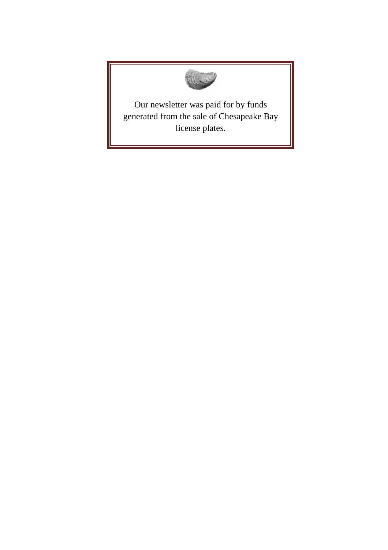

Our newsletter was paid for by funds generated from the sale of Chesapeake Bay license plates.